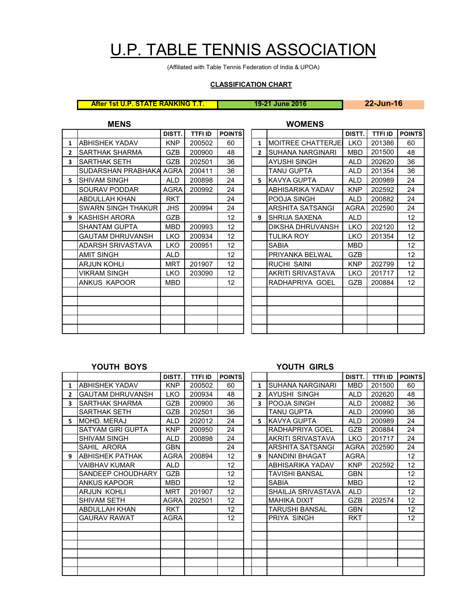# U.P. TABLE TENNIS ASSOCIATION

(Affiliated with Table Tennis Federation of India & UPOA)

## **CLASSIFICATION CHART**

**After 1st U.P. STATE RANKING T.T. 19-21 June 2016 22-Jun-16**

|                | <b>MENS</b>               |             |                |                   |              | <b>WOMENS</b>              |             |                |             |
|----------------|---------------------------|-------------|----------------|-------------------|--------------|----------------------------|-------------|----------------|-------------|
|                |                           | DISTT.      | <b>TTFI ID</b> | <b>POINTS</b>     |              |                            | DISTT.      | <b>TTFI ID</b> | <b>POIN</b> |
| 1              | ABHISHEK YADAV            | <b>KNP</b>  | 200502         | 60                | $\mathbf{1}$ | <b>IMOITREE CHATTERJEI</b> | <b>LKO</b>  | 201386         | 60          |
| $\overline{2}$ | SARTHAK SHARMA            | <b>GZB</b>  | 200900         | 48                | $2^{\circ}$  | <b>SUHANA NARGINARI</b>    | <b>MBD</b>  | 201500         | 48          |
| 3              | SARTHAK SETH              | <b>GZB</b>  | 202501         | 36                |              | AYUSHI SINGH               | ALD         | 202620         | 36          |
|                | SUDARSHAN PRABHAKA AGRA   |             | 200411         | 36                |              | <b>TANU GUPTA</b>          | <b>ALD</b>  | 201354         | 36          |
| 5.             | ISHIVAM SINGH             | <b>ALD</b>  | 200898         | 24                | 5.           | KAVYA GUPTA                | <b>ALD</b>  | 200989         | 24          |
|                | SOURAV PODDAR             | <b>AGRA</b> | 200992         | 24                |              | ABHISARIKA YADAV           | <b>KNP</b>  | 202592         | 24          |
|                | <b>ABDULLAH KHAN</b>      | <b>RKT</b>  |                | 24                |              | POOJA SINGH                | <b>ALD</b>  | 200882         | 24          |
|                | <b>SWARN SINGH THAKUR</b> | <b>JHS</b>  | 200994         | 24                |              | ARSHITA SATSANGI           | <b>AGRA</b> | 202590         | 24          |
| 9              | KASHISH ARORA             | <b>GZB</b>  |                | 12                | 9            | <b>SHRIJA SAXENA</b>       | <b>ALD</b>  |                | 12          |
|                | <b>SHANTAM GUPTA</b>      | <b>MBD</b>  | 200993         | 12                |              | DIKSHA DHRUVANSH           | <b>LKO</b>  | 202120         | 12          |
|                | <b>GAUTAM DHRUVANSH</b>   | <b>LKO</b>  | 200934         | $12 \overline{ }$ |              | TULIKA ROY                 | <b>LKO</b>  | 201354         | 12          |
|                | ADARSH SRIVASTAVA         | <b>LKO</b>  | 200951         | $12 \overline{ }$ |              | <b>SABIA</b>               | <b>MBD</b>  |                | 12          |
|                | <b>AMIT SINGH</b>         | <b>ALD</b>  |                | 12                |              | PRIYANKA BELWAL            | <b>GZB</b>  |                | 12          |
|                | <b>ARJUN KOHLI</b>        | <b>MRT</b>  | 201907         | 12                |              | <b>RUCHI SAINI</b>         | <b>KNP</b>  | 202799         | 12          |
|                | <b>VIKRAM SINGH</b>       | <b>LKO</b>  | 203090         | 12                |              | AKRITI SRIVASTAVA          | <b>LKO</b>  | 201717         | 12          |
|                | ANKUS KAPOOR              | <b>MBD</b>  |                | $12 \overline{ }$ |              | RADHAPRIYA GOEL            | <b>GZB</b>  | 200884         | 12          |
|                |                           |             |                |                   |              |                            |             |                |             |
|                |                           |             |                |                   |              |                            |             |                |             |
|                |                           |             |                |                   |              |                            |             |                |             |
|                |                           |             |                |                   |              |                            |             |                |             |
|                |                           |             |                |                   |              |                            |             |                |             |

| DISTT.     | <b>TTFI ID</b> | <b>POINTS</b>     |                |                           | DISTT.      | <b>TTFI ID</b> | <b>POINTS</b>   |
|------------|----------------|-------------------|----------------|---------------------------|-------------|----------------|-----------------|
| KNP        | 200502         | 60                | 1              | <b>MOITREE CHATTERJEI</b> | <b>LKO</b>  | 201386         | 60              |
| <b>GZB</b> | 200900         | 48                | $\overline{2}$ | SUHANA NARGINARI          | <b>MBD</b>  | 201500         | 48              |
| <b>GZB</b> | 202501         | 36                |                | <b>AYUSHI SINGH</b>       | <b>ALD</b>  | 202620         | 36              |
| AGRA       | 200411         | 36                |                | <b>TANU GUPTA</b>         | <b>ALD</b>  | 201354         | 36              |
| <b>ALD</b> | 200898         | 24                | 5.             | <b>KAVYA GUPTA</b>        | <b>ALD</b>  | 200989         | 24              |
| AGRA       | 200992         | 24                |                | ABHISARIKA YADAV          | <b>KNP</b>  | 202592         | 24              |
| <b>RKT</b> |                | 24                |                | POOJA SINGH               | <b>ALD</b>  | 200882         | 24              |
| <b>JHS</b> | 200994         | 24                |                | ARSHITA SATSANGI          | <b>AGRA</b> | 202590         | 24              |
| GZB        |                | 12 <sup>2</sup>   | 9              | SHRIJA SAXENA             | <b>ALD</b>  |                | 12 <sup>2</sup> |
| <b>MBD</b> | 200993         | 12 <sup>2</sup>   |                | DIKSHA DHRUVANSH          | <b>LKO</b>  | 202120         | 12 <sup>2</sup> |
| <b>LKO</b> | 200934         | 12 <sup>2</sup>   |                | <b>TULIKA ROY</b>         | <b>LKO</b>  | 201354         | 12 <sup>2</sup> |
| <b>LKO</b> | 200951         | $12 \overline{ }$ |                | <b>SABIA</b>              | <b>MBD</b>  |                | 12 <sup>2</sup> |
| <b>ALD</b> |                | 12 <sup>2</sup>   |                | PRIYANKA BELWAL           | <b>GZB</b>  |                | 12 <sup>2</sup> |
| <b>MRT</b> | 201907         | 12                |                | <b>RUCHI SAINI</b>        | <b>KNP</b>  | 202799         | 12 <sup>2</sup> |
| <b>LKO</b> | 203090         | 12 <sup>2</sup>   |                | AKRITI SRIVASTAVA         | <b>LKO</b>  | 201717         | 12 <sup>2</sup> |
| <b>MBD</b> |                | 12 <sup>2</sup>   |                | RADHAPRIYA GOEL           | <b>GZB</b>  | 200884         | 12 <sup>2</sup> |
|            |                |                   |                |                           |             |                |                 |
|            |                |                   |                |                           |             |                |                 |
|            |                |                   |                |                           |             |                |                 |
|            |                |                   |                |                           |             |                |                 |
|            |                |                   |                |                           |             |                |                 |

## **YOUTH BOYS YOUTH GIRLS**

|              | .                       |             |                |                 |                | .                       |             |                |                   |
|--------------|-------------------------|-------------|----------------|-----------------|----------------|-------------------------|-------------|----------------|-------------------|
|              |                         | DISTT.      | <b>TTFI ID</b> | <b>POINTS</b>   |                |                         | DISTT.      | <b>TTFI ID</b> | <b>POINTS</b>     |
| $\mathbf{1}$ | ABHISHEK YADAV          | <b>KNP</b>  | 200502         | 60              | $\mathbf{1}$   | <b>SUHANA NARGINARI</b> | <b>MBD</b>  | 201500         | 60                |
| $\mathbf{2}$ | <b>GAUTAM DHRUVANSH</b> | LKO         | 200934         | 48              | $\overline{2}$ | AYUSHI SINGH            | ALD.        | 202620         | 48                |
| 3            | <b>SARTHAK SHARMA</b>   | GZB         | 200900         | 36              | 3              | POOJA SINGH             | ALD.        | 200882         | 36                |
|              | SARTHAK SETH            | <b>GZB</b>  | 202501         | 36              |                | <b>TANU GUPTA</b>       | <b>ALD</b>  | 200990         | 36                |
| 5.           | MOHD. MERAJ             | <b>ALD</b>  | 202012         | 24              | 5              | <b>KAVYA GUPTA</b>      | ALD.        | 200989         | 24                |
|              | SATYAM GIRI GUPTA       | <b>KNP</b>  | 200950         | 24              |                | RADHAPRIYA GOEL         | <b>GZB</b>  | 200884         | 24                |
|              | <b>SHIVAM SINGH</b>     | ALD         | 200898         | 24              |                | AKRITI SRIVASTAVA       | LKO         | 201717         | 24                |
|              | SAHIL ARORA             | <b>GBN</b>  |                | 24              |                | ARSHITA SATSANGI        | AGRA        | 202590         | 24                |
| 9            | <b>ABHISHEK PATHAK</b>  | AGRA        | 200894         | 12              | 9              | <b>INANDINI BHAGAT</b>  | <b>AGRA</b> |                | $12 \overline{ }$ |
|              | VAIBHAV KUMAR           | ALD         |                | 12 <sup>2</sup> |                | ABHISARIKA YADAV        | <b>KNP</b>  | 202592         | $12 \overline{ }$ |
|              | SANDEEP CHOUDHARY       | <b>GZB</b>  |                | 12              |                | TAVISHI BANSAL          | <b>GBN</b>  |                | 12 <sup>2</sup>   |
|              | ANKUS KAPOOR            | <b>MBD</b>  |                | 12              |                | <b>SABIA</b>            | <b>MBD</b>  |                | $12 \overline{ }$ |
|              | ARJUN KOHLI             | <b>MRT</b>  | 201907         | 12 <sup>2</sup> |                | SHAILJA SRIVASTAVA      | <b>ALD</b>  |                | 12                |
|              | SHIVAM SETH             | <b>AGRA</b> | 202501         | 12              |                | <b>MAHIKA DIXIT</b>     | <b>GZB</b>  | 202574         | 12 <sup>2</sup>   |
|              | ABDULLAH KHAN           | <b>RKT</b>  |                | 12              |                | TARUSHI BANSAL          | <b>GBN</b>  |                | 12                |
|              | <b>GAURAV RAWAT</b>     | AGRA        |                | 12 <sup>2</sup> |                | PRIYA SINGH             | <b>RKT</b>  |                | 12                |
|              |                         |             |                |                 |                |                         |             |                |                   |
|              |                         |             |                |                 |                |                         |             |                |                   |
|              |                         |             |                |                 |                |                         |             |                |                   |
|              |                         |             |                |                 |                |                         |             |                |                   |
|              |                         |             |                |                 |                |                         |             |                |                   |
|              |                         |             |                |                 |                |                         |             |                |                   |
|              |                         |             |                |                 |                |                         |             |                |                   |